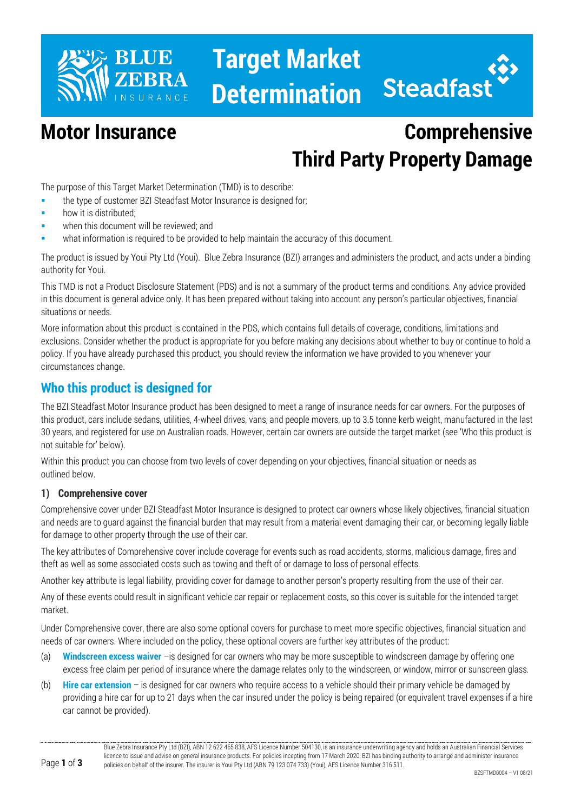

# **Target Market Determination**



## **Motor Insurance Comprehensive Third Party Property Damage**

The purpose of this Target Market Determination (TMD) is to describe:

- **the type of customer BZI Steadfast Motor Insurance is designed for;**
- how it is distributed;
- when this document will be reviewed; and
- what information is required to be provided to help maintain the accuracy of this document.

The product is issued by Youi Pty Ltd (Youi). Blue Zebra Insurance (BZI) arranges and administers the product, and acts under a binding authority for Youi.

This TMD is not a Product Disclosure Statement (PDS) and is not a summary of the product terms and conditions. Any advice provided in this document is general advice only. It has been prepared without taking into account any person's particular objectives, financial situations or needs.

More information about this product is contained in the PDS, which contains full details of coverage, conditions, limitations and exclusions. Consider whether the product is appropriate for you before making any decisions about whether to buy or continue to hold a policy. If you have already purchased this product, you should review the information we have provided to you whenever your circumstances change.

#### **Who this product is designed for**

The BZI Steadfast Motor Insurance product has been designed to meet a range of insurance needs for car owners. For the purposes of this product, cars include sedans, utilities, 4-wheel drives, vans, and people movers, up to 3.5 tonne kerb weight, manufactured in the last 30 years, and registered for use on Australian roads. However, certain car owners are outside the target market (see 'Who this product is not suitable for' below).

Within this product you can choose from two levels of cover depending on your objectives, financial situation or needs as outlined below.

#### **1) Comprehensive cover**

Comprehensive cover under BZI Steadfast Motor Insurance is designed to protect car owners whose likely objectives, financial situation and needs are to guard against the financial burden that may result from a material event damaging their car, or becoming legally liable for damage to other property through the use of their car.

The key attributes of Comprehensive cover include coverage for events such as road accidents, storms, malicious damage, fires and theft as well as some associated costs such as towing and theft of or damage to loss of personal effects.

Another key attribute is legal liability, providing cover for damage to another person's property resulting from the use of their car.

Any of these events could result in significant vehicle car repair or replacement costs, so this cover is suitable for the intended target market.

Under Comprehensive cover, there are also some optional covers for purchase to meet more specific objectives, financial situation and needs of car owners. Where included on the policy, these optional covers are further key attributes of the product:

- (a) **Windscreen excess waiver** –is designed for car owners who may be more susceptible to windscreen damage by offering one excess free claim per period of insurance where the damage relates only to the windscreen, or window, mirror or sunscreen glass.
- (b) **Hire car extension**  is designed for car owners who require access to a vehicle should their primary vehicle be damaged by providing a hire car for up to 21 days when the car insured under the policy is being repaired (or equivalent travel expenses if a hire car cannot be provided).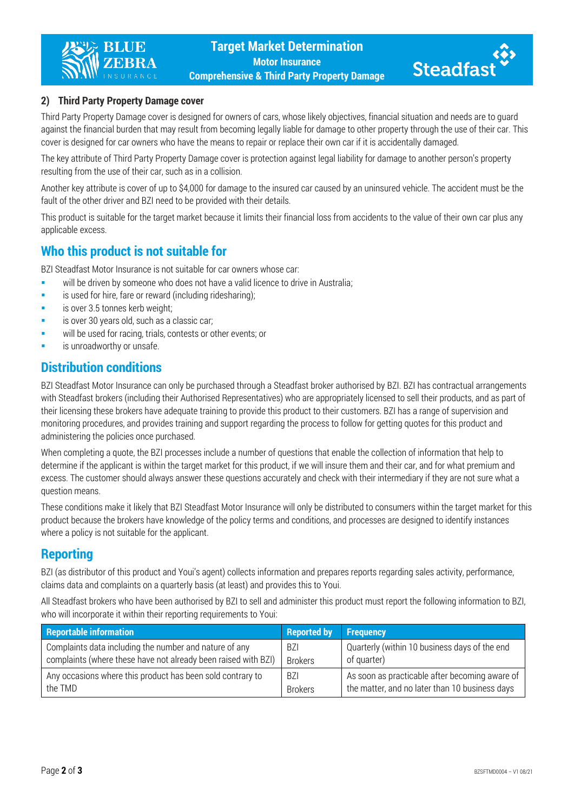



#### **2) Third Party Property Damage cover**

Third Party Property Damage cover is designed for owners of cars, whose likely objectives, financial situation and needs are to guard against the financial burden that may result from becoming legally liable for damage to other property through the use of their car. This cover is designed for car owners who have the means to repair or replace their own car if it is accidentally damaged.

The key attribute of Third Party Property Damage cover is protection against legal liability for damage to another person's property resulting from the use of their car, such as in a collision.

Another key attribute is cover of up to \$4,000 for damage to the insured car caused by an uninsured vehicle. The accident must be the fault of the other driver and BZI need to be provided with their details.

This product is suitable for the target market because it limits their financial loss from accidents to the value of their own car plus any applicable excess.

#### **Who this product is not suitable for**

BZI Steadfast Motor Insurance is not suitable for car owners whose car:

- will be driven by someone who does not have a valid licence to drive in Australia;
- **EXECT** is used for hire, fare or reward (including ridesharing);
- is over 3.5 tonnes kerb weight;
- is over 30 years old, such as a classic car;
- will be used for racing, trials, contests or other events; or
- is unroadworthy or unsafe.

#### **Distribution conditions**

BZI Steadfast Motor Insurance can only be purchased through a Steadfast broker authorised by BZI. BZI has contractual arrangements with Steadfast brokers (including their Authorised Representatives) who are appropriately licensed to sell their products, and as part of their licensing these brokers have adequate training to provide this product to their customers. BZI has a range of supervision and monitoring procedures, and provides training and support regarding the process to follow for getting quotes for this product and administering the policies once purchased.

When completing a quote, the BZI processes include a number of questions that enable the collection of information that help to determine if the applicant is within the target market for this product, if we will insure them and their car, and for what premium and excess. The customer should always answer these questions accurately and check with their intermediary if they are not sure what a question means.

These conditions make it likely that BZI Steadfast Motor Insurance will only be distributed to consumers within the target market for this product because the brokers have knowledge of the policy terms and conditions, and processes are designed to identify instances where a policy is not suitable for the applicant.

#### **Reporting**

BZI (as distributor of this product and Youi's agent) collects information and prepares reports regarding sales activity, performance, claims data and complaints on a quarterly basis (at least) and provides this to Youi.

All Steadfast brokers who have been authorised by BZI to sell and administer this product must report the following information to BZI, who will incorporate it within their reporting requirements to Youi:

| <b>Reportable information</b>                                  | <b>Reported by</b> | <b>Frequency</b>                               |
|----------------------------------------------------------------|--------------------|------------------------------------------------|
| Complaints data including the number and nature of any         | <b>BZI</b>         | Quarterly (within 10 business days of the end  |
| complaints (where these have not already been raised with BZI) | <b>Brokers</b>     | of quarter)                                    |
| Any occasions where this product has been sold contrary to     | <b>BZI</b>         | As soon as practicable after becoming aware of |
| the TMD                                                        | <b>Brokers</b>     | the matter, and no later than 10 business days |